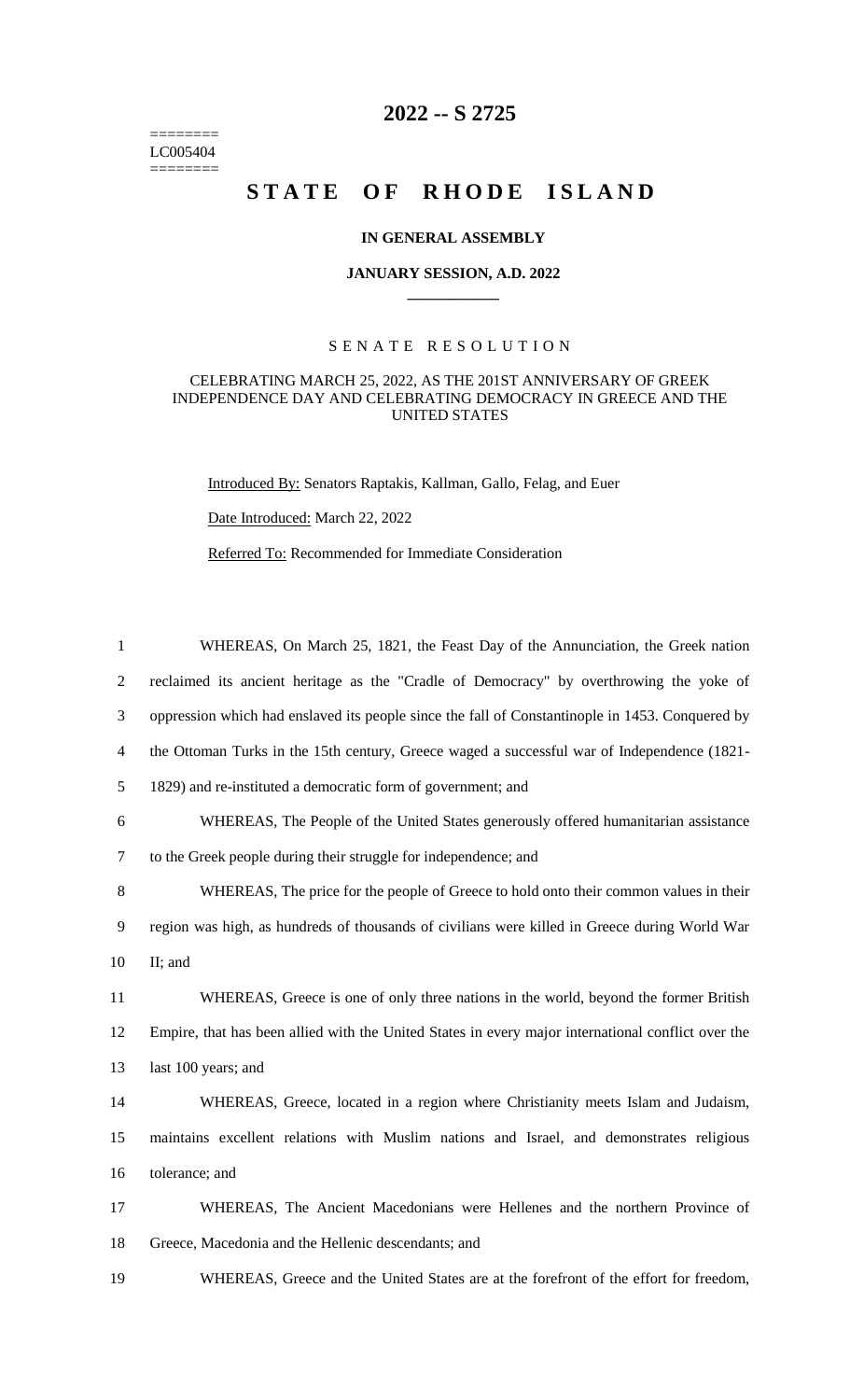======== LC005404  $=$ 

## **2022 -- S 2725**

# STATE OF RHODE ISLAND

#### **IN GENERAL ASSEMBLY**

#### **JANUARY SESSION, A.D. 2022 \_\_\_\_\_\_\_\_\_\_\_\_**

### S E N A T E R E S O L U T I O N

#### CELEBRATING MARCH 25, 2022, AS THE 201ST ANNIVERSARY OF GREEK INDEPENDENCE DAY AND CELEBRATING DEMOCRACY IN GREECE AND THE UNITED STATES

Introduced By: Senators Raptakis, Kallman, Gallo, Felag, and Euer

Date Introduced: March 22, 2022

Referred To: Recommended for Immediate Consideration

| $\mathbf{1}$   | WHEREAS, On March 25, 1821, the Feast Day of the Annunciation, the Greek nation                    |
|----------------|----------------------------------------------------------------------------------------------------|
| $\overline{2}$ | reclaimed its ancient heritage as the "Cradle of Democracy" by overthrowing the yoke of            |
| 3              | oppression which had enslaved its people since the fall of Constantinople in 1453. Conquered by    |
| $\overline{4}$ | the Ottoman Turks in the 15th century, Greece waged a successful war of Independence (1821-        |
| 5              | 1829) and re-instituted a democratic form of government; and                                       |
| 6              | WHEREAS, The People of the United States generously offered humanitarian assistance                |
| $\tau$         | to the Greek people during their struggle for independence; and                                    |
| $8\,$          | WHEREAS, The price for the people of Greece to hold onto their common values in their              |
| 9              | region was high, as hundreds of thousands of civilians were killed in Greece during World War      |
| 10             | II; and                                                                                            |
| 11             | WHEREAS, Greece is one of only three nations in the world, beyond the former British               |
| 12             | Empire, that has been allied with the United States in every major international conflict over the |
| 13             | last 100 years; and                                                                                |
| 14             | WHEREAS, Greece, located in a region where Christianity meets Islam and Judaism,                   |
| 15             | maintains excellent relations with Muslim nations and Israel, and demonstrates religious           |
| 16             | tolerance; and                                                                                     |
| 17             | WHEREAS, The Ancient Macedonians were Hellenes and the northern Province of                        |
| 18             | Greece, Macedonia and the Hellenic descendants; and                                                |
| 19             | WHEREAS, Greece and the United States are at the forefront of the effort for freedom,              |